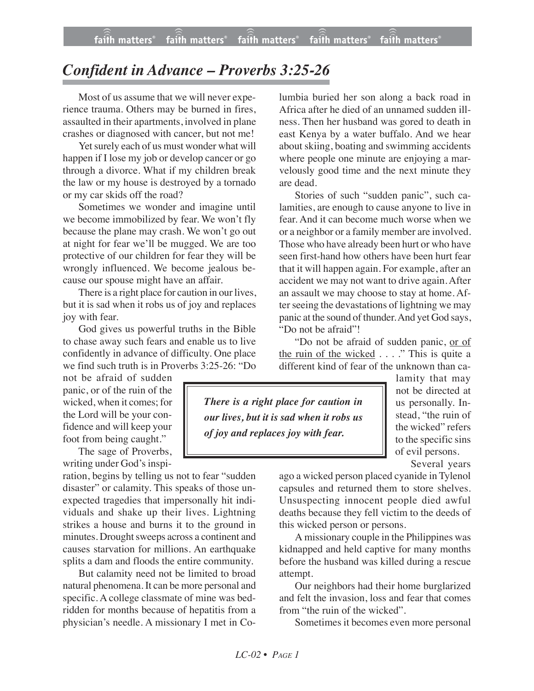## *Confident in Advance – Proverbs 3:25-26*

Most of us assume that we will never experience trauma. Others may be burned in fires, assaulted in their apartments, involved in plane crashes or diagnosed with cancer, but not me!

Yet surely each of us must wonder what will happen if I lose my job or develop cancer or go through a divorce. What if my children break the law or my house is destroyed by a tornado or my car skids off the road?

Sometimes we wonder and imagine until we become immobilized by fear. We won't fly because the plane may crash. We won't go out at night for fear we'll be mugged. We are too protective of our children for fear they will be wrongly influenced. We become jealous because our spouse might have an affair.

There is a right place for caution in our lives, but it is sad when it robs us of joy and replaces joy with fear.

God gives us powerful truths in the Bible to chase away such fears and enable us to live confidently in advance of difficulty. One place we find such truth is in Proverbs 3:25-26: "Do

not be afraid of sudden panic, or of the ruin of the wicked, when it comes; for the Lord will be your confidence and will keep your foot from being caught."

The sage of Proverbs,

writing under God's inspiration, begins by telling us not to fear "sudden disaster" or calamity. This speaks of those unexpected tragedies that impersonally hit individuals and shake up their lives. Lightning strikes a house and burns it to the ground in minutes. Drought sweeps across a continent and causes starvation for millions. An earthquake splits a dam and floods the entire community.

But calamity need not be limited to broad natural phenomena. It can be more personal and specific. A college classmate of mine was bedridden for months because of hepatitis from a physician's needle. A missionary I met in Co-

lumbia buried her son along a back road in Africa after he died of an unnamed sudden illness. Then her husband was gored to death in east Kenya by a water buffalo. And we hear about skiing, boating and swimming accidents where people one minute are enjoying a marvelously good time and the next minute they are dead.

Stories of such "sudden panic", such calamities, are enough to cause anyone to live in fear. And it can become much worse when we or a neighbor or a family member are involved. Those who have already been hurt or who have seen first-hand how others have been hurt fear that it will happen again. For example, after an accident we may not want to drive again. After an assault we may choose to stay at home. After seeing the devastations of lightning we may panic at the sound of thunder. And yet God says, "Do not be afraid"!

"Do not be afraid of sudden panic, or of the ruin of the wicked . . . ." This is quite a different kind of fear of the unknown than ca-

*There is a right place for caution in our lives, but it is sad when it robs us of joy and replaces joy with fear.*

lamity that may not be directed at us personally. Instead, "the ruin of the wicked" refers to the specific sins of evil persons.

Several years

ago a wicked person placed cyanide in Tylenol capsules and returned them to store shelves. Unsuspecting innocent people died awful deaths because they fell victim to the deeds of this wicked person or persons.

A missionary couple in the Philippines was kidnapped and held captive for many months before the husband was killed during a rescue attempt.

Our neighbors had their home burglarized and felt the invasion, loss and fear that comes from "the ruin of the wicked".

Sometimes it becomes even more personal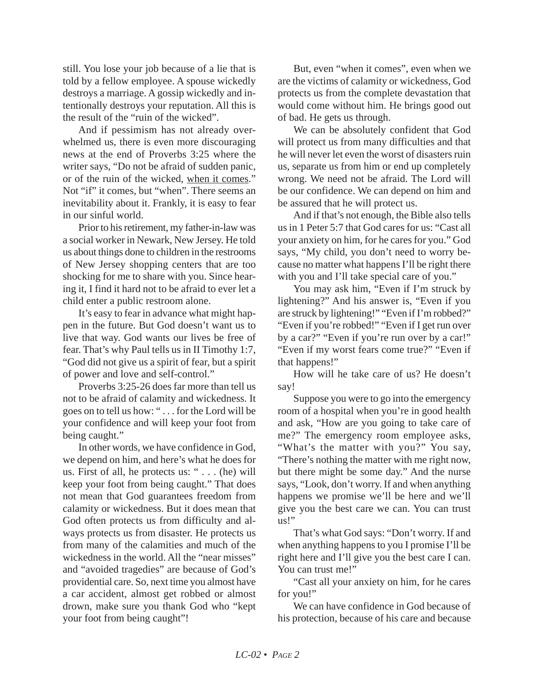still. You lose your job because of a lie that is told by a fellow employee. A spouse wickedly destroys a marriage. A gossip wickedly and intentionally destroys your reputation. All this is the result of the "ruin of the wicked".

And if pessimism has not already overwhelmed us, there is even more discouraging news at the end of Proverbs 3:25 where the writer says, "Do not be afraid of sudden panic, or of the ruin of the wicked, when it comes." Not "if" it comes, but "when". There seems an inevitability about it. Frankly, it is easy to fear in our sinful world.

Prior to his retirement, my father-in-law was a social worker in Newark, New Jersey. He told us about things done to children in the restrooms of New Jersey shopping centers that are too shocking for me to share with you. Since hearing it, I find it hard not to be afraid to ever let a child enter a public restroom alone.

It's easy to fear in advance what might happen in the future. But God doesn't want us to live that way. God wants our lives be free of fear. That's why Paul tells us in II Timothy 1:7, "God did not give us a spirit of fear, but a spirit of power and love and self-control."

Proverbs 3:25-26 does far more than tell us not to be afraid of calamity and wickedness. It goes on to tell us how: " . . . for the Lord will be your confidence and will keep your foot from being caught."

In other words, we have confidence in God, we depend on him, and here's what he does for us. First of all, he protects us: " $\dots$  (he) will keep your foot from being caught." That does not mean that God guarantees freedom from calamity or wickedness. But it does mean that God often protects us from difficulty and always protects us from disaster. He protects us from many of the calamities and much of the wickedness in the world. All the "near misses" and "avoided tragedies" are because of God's providential care. So, next time you almost have a car accident, almost get robbed or almost drown, make sure you thank God who "kept your foot from being caught"!

But, even "when it comes", even when we are the victims of calamity or wickedness, God protects us from the complete devastation that would come without him. He brings good out of bad. He gets us through.

We can be absolutely confident that God will protect us from many difficulties and that he will never let even the worst of disasters ruin us, separate us from him or end up completely wrong. We need not be afraid. The Lord will be our confidence. We can depend on him and be assured that he will protect us.

And if that's not enough, the Bible also tells us in 1 Peter 5:7 that God cares for us: "Cast all your anxiety on him, for he cares for you." God says, "My child, you don't need to worry because no matter what happens I'll be right there with you and I'll take special care of you."

You may ask him, "Even if I'm struck by lightening?" And his answer is, "Even if you are struck by lightening!" "Even if I'm robbed?" "Even if you're robbed!" "Even if I get run over by a car?" "Even if you're run over by a car!" "Even if my worst fears come true?" "Even if that happens!"

How will he take care of us? He doesn't say!

Suppose you were to go into the emergency room of a hospital when you're in good health and ask, "How are you going to take care of me?" The emergency room employee asks, "What's the matter with you?" You say, "There's nothing the matter with me right now, but there might be some day." And the nurse says, "Look, don't worry. If and when anything happens we promise we'll be here and we'll give you the best care we can. You can trust us!"

That's what God says: "Don't worry. If and when anything happens to you I promise I'll be right here and I'll give you the best care I can. You can trust me!"

"Cast all your anxiety on him, for he cares for you!"

We can have confidence in God because of his protection, because of his care and because